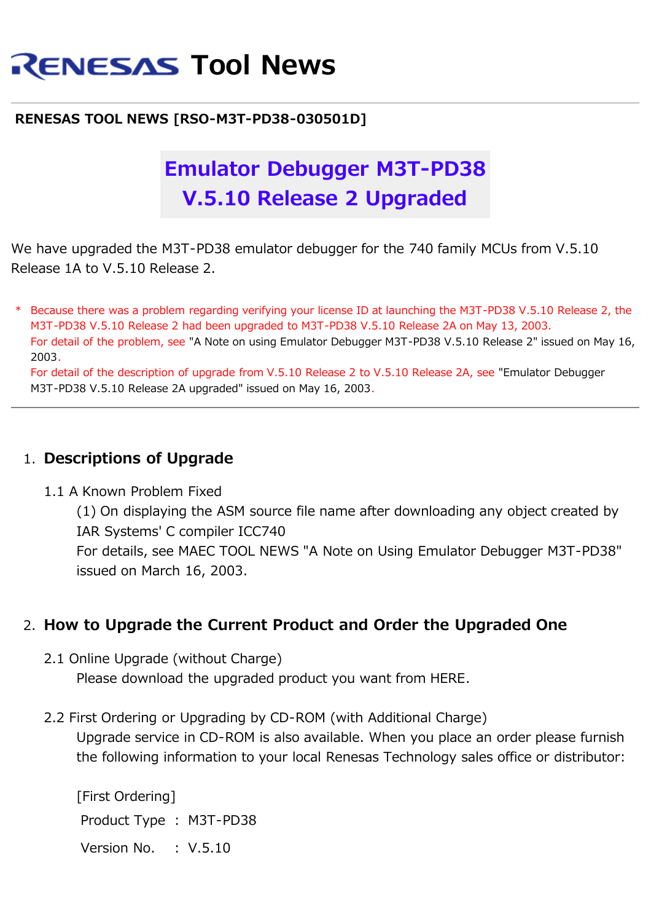# **RENESAS Tool News**

#### **RENESAS TOOL NEWS [RSO-M3T-PD38-030501D]**

## **Emulator Debugger M3T-PD38 V.5.10 Release 2 Upgraded**

We have upgraded the M3T-PD38 emulator debugger for the 740 family MCUs from V.5.10 Release 1A to V.5.10 Release 2.

\* Because there was a problem regarding verifying your license ID at launching the M3T-PD38 V.5.10 Release 2, the M3T-PD38 V.5.10 Release 2 had been upgraded to M3T-PD38 V.5.10 Release 2A on May 13, 2003. For detail of the problem, see "A Note on using Emulator Debugger M3T-PD38 V.5.10 Release 2" issued on May 16, 2003.

For detail of the description of upgrade from V.5.10 Release 2 to V.5.10 Release 2A, see "Emulator Debugger M3T-PD38 V.5.10 Release 2A upgraded" issued on May 16, 2003.

#### 1. **Descriptions of Upgrade**

#### 1.1 A Known Problem Fixed

(1) On displaying the ASM source file name after downloading any object created by IAR Systems' C compiler ICC740 For details, see MAEC TOOL NEWS "A Note on Using Emulator Debugger M3T-PD38"

issued on March 16, 2003.

### 2. **How to Upgrade the Current Product and Order the Upgraded One**

2.1 Online Upgrade (without Charge)

Please download the upgraded product you want from HERE.

2.2 First Ordering or Upgrading by CD-ROM (with Additional Charge)

Upgrade service in CD-ROM is also available. When you place an order please furnish the following information to your local Renesas Technology sales office or distributor:

[First Ordering] Product Type : M3T-PD38 Version No. : V.5.10